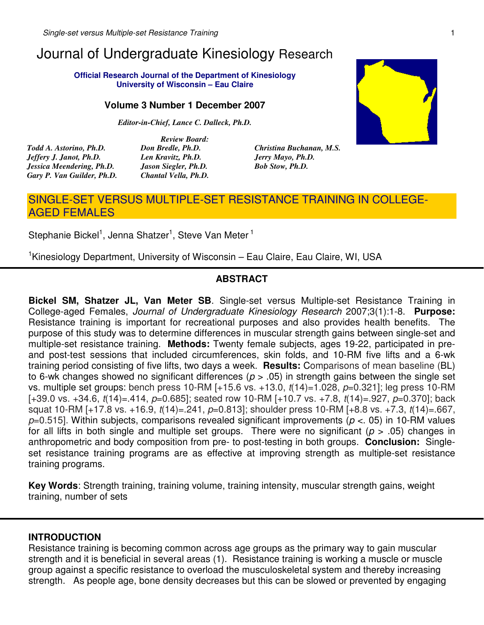# Journal of Undergraduate Kinesiology Research

**Official Research Journal of the Department of Kinesiology University of Wisconsin – Eau Claire**

#### **Volume 3 Number 1 December 2007**

*Editor-in-Chief, Lance C. Dalleck, Ph.D.*

*Todd A. Astorino, Ph.D. Don Bredle, Ph.D. Christina Buchanan, M.S. Jeffery J. Janot, Ph.D. Len Kravitz, Ph.D. Jerry Mayo, Ph.D. Jessica Meendering, Ph.D. Jason Siegler, Ph.D. Bob Stow, Ph.D. Gary P. Van Guilder, Ph.D. Chantal Vella, Ph.D.*

*Review Board:*

## SINGLE-SET VERSUS MULTIPLE-SET RESISTANCE TRAINING IN COLLEGE-AGED FEMALES

Stephanie Bickel<sup>1</sup>, Jenna Shatzer<sup>1</sup>, Steve Van Meter<sup>1</sup>

<sup>1</sup>Kinesiology Department, University of Wisconsin – Eau Claire, Eau Claire, WI, USA

#### **ABSTRACT**

**Bickel SM, Shatzer JL, Van Meter SB**. Single-set versus Multiple-set Resistance Training in College-aged Females, *Journal of Undergraduate Kinesiology Research* 2007;3(1):1-8. **Purpose:** Resistance training is important for recreational purposes and also provides health benefits. The purpose of this study was to determine differences in muscular strength gains between single-set and multiple-set resistance training. **Methods:** Twenty female subjects, ages 19-22, participated in preand post-test sessions that included circumferences, skin folds, and 10-RM five lifts and a 6-wk training period consisting of five lifts, two days a week. **Results:** Comparisons of mean baseline (BL) to 6-wk changes showed no significant differences (*p* > .05) in strength gains between the single set vs. multiple set groups: bench press 10-RM [+15.6 vs. +13.0, *t*(14)=1.028, *p*=0.321]; leg press 10-RM [+39.0 vs. +34.6, *t*(14)=.414, *p*=0.685]; seated row 10-RM [+10.7 vs. +7.8, *t*(14)=.927, *p*=0.370]; back squat 10-RM [+17.8 vs. +16.9, *t*(14)=.241, *p*=0.813]; shoulder press 10-RM [+8.8 vs. +7.3, *t*(14)=.667, *p*=0.515]. Within subjects, comparisons revealed significant improvements (*p* <. 05) in 10-RM values for all lifts in both single and multiple set groups. There were no significant (*p* > .05) changes in anthropometric and body composition from pre- to post-testing in both groups. **Conclusion:** Singleset resistance training programs are as effective at improving strength as multiple-set resistance training programs.

**Key Words**: Strength training, training volume, training intensity, muscular strength gains, weight training, number of sets

#### **INTRODUCTION**

Resistance training is becoming common across age groups as the primary way to gain muscular strength and it is beneficial in several areas (1). Resistance training is working a muscle or muscle group against a specific resistance to overload the musculoskeletal system and thereby increasing strength. As people age, bone density decreases but this can be slowed or prevented by engaging

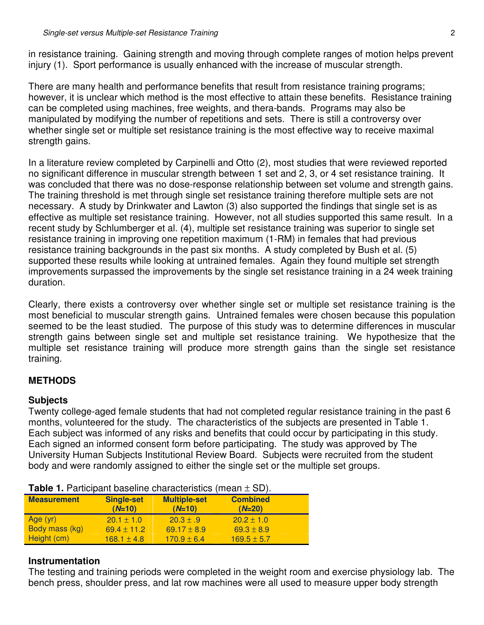in resistance training. Gaining strength and moving through complete ranges of motion helps prevent injury (1). Sport performance is usually enhanced with the increase of muscular strength.

There are many health and performance benefits that result from resistance training programs; however, it is unclear which method is the most effective to attain these benefits. Resistance training can be completed using machines, free weights, and thera-bands. Programs may also be manipulated by modifying the number of repetitions and sets. There is still a controversy over whether single set or multiple set resistance training is the most effective way to receive maximal strength gains.

In a literature review completed by Carpinelli and Otto (2), most studies that were reviewed reported no significant difference in muscular strength between 1 set and 2, 3, or 4 set resistance training. It was concluded that there was no dose-response relationship between set volume and strength gains. The training threshold is met through single set resistance training therefore multiple sets are not necessary. A study by Drinkwater and Lawton (3) also supported the findings that single set is as effective as multiple set resistance training. However, not all studies supported this same result. In a recent study by Schlumberger et al. (4), multiple set resistance training was superior to single set resistance training in improving one repetition maximum (1-RM) in females that had previous resistance training backgrounds in the past six months. A study completed by Bush et al. (5) supported these results while looking at untrained females. Again they found multiple set strength improvements surpassed the improvements by the single set resistance training in a 24 week training duration.

Clearly, there exists a controversy over whether single set or multiple set resistance training is the most beneficial to muscular strength gains. Untrained females were chosen because this population seemed to be the least studied. The purpose of this study was to determine differences in muscular strength gains between single set and multiple set resistance training. We hypothesize that the multiple set resistance training will produce more strength gains than the single set resistance training.

## **METHODS**

#### **Subjects**

Twenty college-aged female students that had not completed regular resistance training in the past 6 months, volunteered for the study. The characteristics of the subjects are presented in Table 1. Each subject was informed of any risks and benefits that could occur by participating in this study. Each signed an informed consent form before participating. The study was approved by The University Human Subjects Institutional Review Board. Subjects were recruited from the student body and were randomly assigned to either the single set or the multiple set groups.

|  |  |  | <b>Table 1.</b> Participant baseline characteristics (mean $\pm$ SD). |  |  |
|--|--|--|-----------------------------------------------------------------------|--|--|
|--|--|--|-----------------------------------------------------------------------|--|--|

| $\mathbf{r}$ . The contraction of the contraction of $\mathbf{r}$ . The contraction of $\mathbf{r}$ |                               |                                 |                             |  |
|-----------------------------------------------------------------------------------------------------|-------------------------------|---------------------------------|-----------------------------|--|
| <b>Measurement</b>                                                                                  | <b>Single-set</b><br>$(N=10)$ | <b>Multiple-set</b><br>$(N=10)$ | <b>Combined</b><br>$(N=20)$ |  |
| Age $(yr)$                                                                                          | $20.1 \pm 1.0$                | $20.3 \pm .9$                   | $20.2 \pm 1.0$              |  |
| Body mass (kg)                                                                                      | $69.4 \pm 11.2$               | $69.17 \pm 8.9$                 | $69.3 \pm 8.9$              |  |
| Height (cm)                                                                                         | $168.1 \pm 4.8$               | $170.9 \pm 6.4$                 | $169.5 \pm 5.7$             |  |

#### **Instrumentation**

The testing and training periods were completed in the weight room and exercise physiology lab. The bench press, shoulder press, and lat row machines were all used to measure upper body strength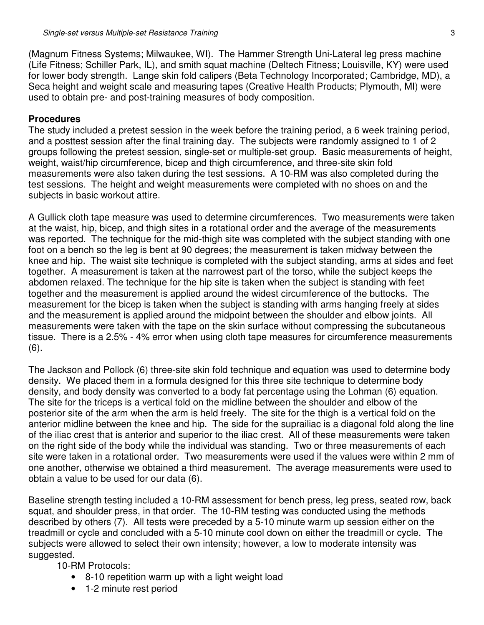(Magnum Fitness Systems; Milwaukee, WI). The Hammer Strength Uni-Lateral leg press machine (Life Fitness; Schiller Park, IL), and smith squat machine (Deltech Fitness; Louisville, KY) were used for lower body strength. Lange skin fold calipers (Beta Technology Incorporated; Cambridge, MD), a Seca height and weight scale and measuring tapes (Creative Health Products; Plymouth, MI) were used to obtain pre- and post-training measures of body composition.

## **Procedures**

The study included a pretest session in the week before the training period, a 6 week training period, and a posttest session after the final training day. The subjects were randomly assigned to 1 of 2 groups following the pretest session, single-set or multiple-set group. Basic measurements of height, weight, waist/hip circumference, bicep and thigh circumference, and three-site skin fold measurements were also taken during the test sessions. A 10-RM was also completed during the test sessions. The height and weight measurements were completed with no shoes on and the subjects in basic workout attire.

A Gullick cloth tape measure was used to determine circumferences. Two measurements were taken at the waist, hip, bicep, and thigh sites in a rotational order and the average of the measurements was reported. The technique for the mid-thigh site was completed with the subject standing with one foot on a bench so the leg is bent at 90 degrees; the measurement is taken midway between the knee and hip. The waist site technique is completed with the subject standing, arms at sides and feet together. A measurement is taken at the narrowest part of the torso, while the subject keeps the abdomen relaxed. The technique for the hip site is taken when the subject is standing with feet together and the measurement is applied around the widest circumference of the buttocks. The measurement for the bicep is taken when the subject is standing with arms hanging freely at sides and the measurement is applied around the midpoint between the shoulder and elbow joints. All measurements were taken with the tape on the skin surface without compressing the subcutaneous tissue. There is a 2.5% - 4% error when using cloth tape measures for circumference measurements (6).

The Jackson and Pollock (6) three-site skin fold technique and equation was used to determine body density. We placed them in a formula designed for this three site technique to determine body density, and body density was converted to a body fat percentage using the Lohman (6) equation. The site for the triceps is a vertical fold on the midline between the shoulder and elbow of the posterior site of the arm when the arm is held freely. The site for the thigh is a vertical fold on the anterior midline between the knee and hip. The side for the suprailiac is a diagonal fold along the line of the iliac crest that is anterior and superior to the iliac crest. All of these measurements were taken on the right side of the body while the individual was standing. Two or three measurements of each site were taken in a rotational order. Two measurements were used if the values were within 2 mm of one another, otherwise we obtained a third measurement. The average measurements were used to obtain a value to be used for our data (6).

Baseline strength testing included a 10-RM assessment for bench press, leg press, seated row, back squat, and shoulder press, in that order. The 10-RM testing was conducted using the methods described by others (7). All tests were preceded by a 5-10 minute warm up session either on the treadmill or cycle and concluded with a 5-10 minute cool down on either the treadmill or cycle. The subjects were allowed to select their own intensity; however, a low to moderate intensity was suggested.

10-RM Protocols:

- 8-10 repetition warm up with a light weight load
- 1-2 minute rest period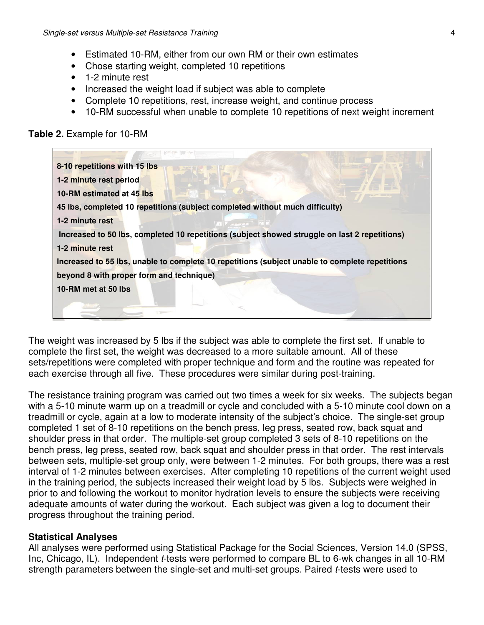- Estimated 10-RM, either from our own RM or their own estimates
- Chose starting weight, completed 10 repetitions
- 1-2 minute rest
- Increased the weight load if subject was able to complete
- Complete 10 repetitions, rest, increase weight, and continue process
- 10-RM successful when unable to complete 10 repetitions of next weight increment

**Table 2.** Example for 10-RM

| 8-10 repetitions with 15 lbs                                                                   |
|------------------------------------------------------------------------------------------------|
| 1-2 minute rest period                                                                         |
| 10-RM estimated at 45 lbs                                                                      |
| 45 lbs, completed 10 repetitions (subject completed without much difficulty)                   |
| 1-2 minute rest<br><b>Commercial Commercial</b>                                                |
| Increased to 50 lbs, completed 10 repetitions (subject showed struggle on last 2 repetitions)  |
| 1-2 minute rest                                                                                |
| Increased to 55 lbs, unable to complete 10 repetitions (subject unable to complete repetitions |
| beyond 8 with proper form and technique)                                                       |
| 10-RM met at 50 lbs                                                                            |
|                                                                                                |
|                                                                                                |

The weight was increased by 5 lbs if the subject was able to complete the first set. If unable to complete the first set, the weight was decreased to a more suitable amount. All of these sets/repetitions were completed with proper technique and form and the routine was repeated for each exercise through all five. These procedures were similar during post-training.

The resistance training program was carried out two times a week for six weeks. The subjects began with a 5-10 minute warm up on a treadmill or cycle and concluded with a 5-10 minute cool down on a treadmill or cycle, again at a low to moderate intensity of the subject's choice. The single-set group completed 1 set of 8-10 repetitions on the bench press, leg press, seated row, back squat and shoulder press in that order. The multiple-set group completed 3 sets of 8-10 repetitions on the bench press, leg press, seated row, back squat and shoulder press in that order. The rest intervals between sets, multiple-set group only, were between 1-2 minutes. For both groups, there was a rest interval of 1-2 minutes between exercises. After completing 10 repetitions of the current weight used in the training period, the subjects increased their weight load by 5 lbs. Subjects were weighed in prior to and following the workout to monitor hydration levels to ensure the subjects were receiving adequate amounts of water during the workout. Each subject was given a log to document their progress throughout the training period.

#### **Statistical Analyses**

All analyses were performed using Statistical Package for the Social Sciences, Version 14.0 (SPSS, Inc, Chicago, IL). Independent *t*-tests were performed to compare BL to 6-wk changes in all 10-RM strength parameters between the single-set and multi-set groups. Paired *t*-tests were used to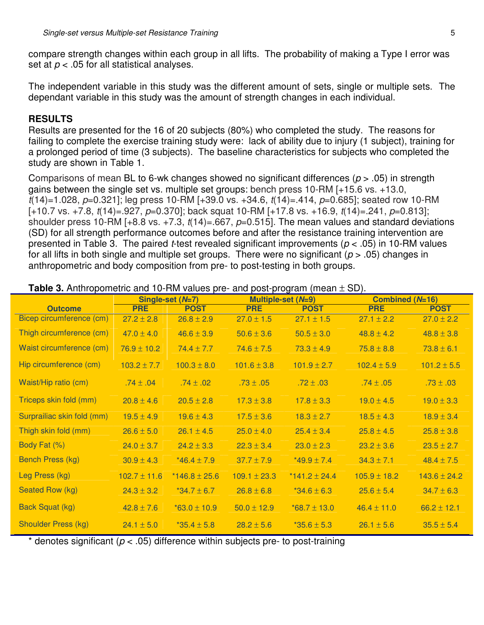compare strength changes within each group in all lifts. The probability of making a Type I error was set at *p* < .05 for all statistical analyses.

The independent variable in this study was the different amount of sets, single or multiple sets. The dependant variable in this study was the amount of strength changes in each individual.

## **RESULTS**

Results are presented for the 16 of 20 subjects (80%) who completed the study. The reasons for failing to complete the exercise training study were: lack of ability due to injury (1 subject), training for a prolonged period of time (3 subjects). The baseline characteristics for subjects who completed the study are shown in Table 1.

Comparisons of mean BL to 6-wk changes showed no significant differences (*p* > .05) in strength gains between the single set vs. multiple set groups: bench press 10-RM [+15.6 vs. +13.0, *t*(14)=1.028, *p*=0.321]; leg press 10-RM [+39.0 vs. +34.6, *t*(14)=.414, *p*=0.685]; seated row 10-RM [+10.7 vs. +7.8, *t*(14)=.927, *p*=0.370]; back squat 10-RM [+17.8 vs. +16.9, *t*(14)=.241, *p*=0.813]; shoulder press 10-RM [+8.8 vs. +7.3, *t*(14)=.667, *p*=0.515]. The mean values and standard deviations (SD) for all strength performance outcomes before and after the resistance training intervention are presented in Table 3. The paired *t*-test revealed significant improvements (*p* < .05) in 10-RM values for all lifts in both single and multiple set groups. There were no significant (*p* > .05) changes in anthropometric and body composition from pre- to post-testing in both groups.

|                            | Single-set (N=7) |                   | Multiple-set (N=9) |                   | Combined (N=16)  |                  |
|----------------------------|------------------|-------------------|--------------------|-------------------|------------------|------------------|
| <b>Outcome</b>             | <b>PRE</b>       | <b>POST</b>       | <b>PRE</b>         | <b>POST</b>       | <b>PRE</b>       | <b>POST</b>      |
| Bicep circumference (cm)   | $27.2 \pm 2.8$   | $26.8 \pm 2.9$    | $27.0 \pm 1.5$     | $27.1 \pm 1.5$    | $27.1 \pm 2.2$   | $27.0 \pm 2.2$   |
| Thigh circumference (cm)   | $47.0 \pm 4.0$   | $46.6 \pm 3.9$    | $50.6 \pm 3.6$     | $50.5 \pm 3.0$    | $48.8 \pm 4.2$   | $48.8 \pm 3.8$   |
| Waist circumference (cm)   | $76.9 \pm 10.2$  | $74.4 \pm 7.7$    | $74.6 \pm 7.5$     | $73.3 \pm 4.9$    | $75.8 \pm 8.8$   | $73.8 \pm 6.1$   |
| Hip circumference (cm)     | $103.2 \pm 7.7$  | $100.3 \pm 8.0$   | $101.6 \pm 3.8$    | $101.9 \pm 2.7$   | $102.4 \pm 5.9$  | $101.2 \pm 5.5$  |
| Waist/Hip ratio (cm)       | $.74 \pm .04$    | $.74 \pm .02$     | $.73 \pm .05$      | $.72 \pm .03$     | $.74 \pm .05$    | $.73 \pm .03$    |
| Triceps skin fold (mm)     | $20.8 \pm 4.6$   | $20.5 \pm 2.8$    | $17.3 \pm 3.8$     | $17.8 \pm 3.3$    | $19.0 \pm 4.5$   | $19.0 \pm 3.3$   |
| Surprailiac skin fold (mm) | $19.5 \pm 4.9$   | $19.6 \pm 4.3$    | $17.5 \pm 3.6$     | $18.3 \pm 2.7$    | $18.5 \pm 4.3$   | $18.9 \pm 3.4$   |
| Thigh skin fold (mm)       | $26.6 \pm 5.0$   | $26.1 \pm 4.5$    | $25.0 \pm 4.0$     | $25.4 \pm 3.4$    | $25.8 \pm 4.5$   | $25.8 \pm 3.8$   |
| Body Fat (%)               | $24.0 \pm 3.7$   | $24.2 \pm 3.3$    | $22.3 \pm 3.4$     | $23.0 \pm 2.3$    | $23.2 \pm 3.6$   | $23.5 \pm 2.7$   |
| Bench Press (kg)           | $30.9 \pm 4.3$   | $*46.4 \pm 7.9$   | $37.7 \pm 7.9$     | $*49.9 \pm 7.4$   | $34.3 \pm 7.1$   | $48.4 \pm 7.5$   |
| Leg Press (kg)             | $102.7 \pm 11.6$ | $*146.8 \pm 25.6$ | $109.1 \pm 23.3$   | *141.2 $\pm$ 24.4 | $105.9 \pm 18.2$ | $143.6 \pm 24.2$ |
| Seated Row (kg)            | $24.3 \pm 3.2$   | $*34.7 \pm 6.7$   | $26.8 \pm 6.8$     | $*34.6 \pm 6.3$   | $25.6 \pm 5.4$   | $34.7 \pm 6.3$   |
| <b>Back Squat (kg)</b>     | $42.8 \pm 7.6$   | $*63.0 \pm 10.9$  | $50.0 \pm 12.9$    | $*68.7 \pm 13.0$  | $46.4 \pm 11.0$  | $66.2 \pm 12.1$  |
| <b>Shoulder Press (kg)</b> | $24.1 \pm 5.0$   | $*35.4 \pm 5.8$   | $28.2 \pm 5.6$     | $*35.6 \pm 5.3$   | $26.1 \pm 5.6$   | $35.5 \pm 5.4$   |

**Table 3.** Anthropometric and 10-RM values pre- and post-program (mean ± SD).

\* denotes significant (*p* < .05) difference within subjects pre- to post-training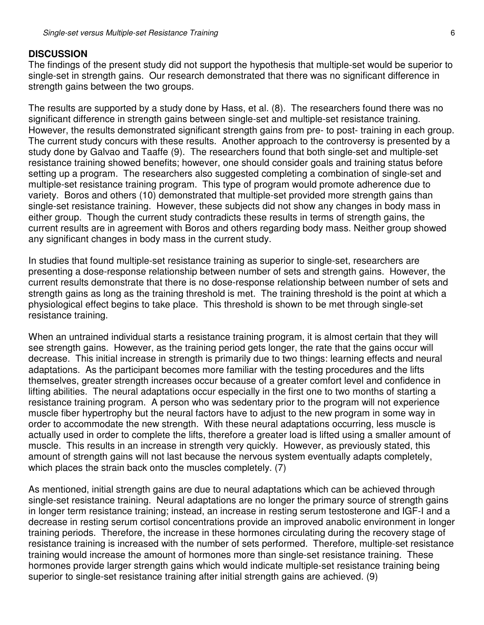#### **DISCUSSION**

The findings of the present study did not support the hypothesis that multiple-set would be superior to single-set in strength gains. Our research demonstrated that there was no significant difference in strength gains between the two groups.

The results are supported by a study done by Hass, et al. (8). The researchers found there was no significant difference in strength gains between single-set and multiple-set resistance training. However, the results demonstrated significant strength gains from pre- to post- training in each group. The current study concurs with these results. Another approach to the controversy is presented by a study done by Galvao and Taaffe (9). The researchers found that both single-set and multiple-set resistance training showed benefits; however, one should consider goals and training status before setting up a program. The researchers also suggested completing a combination of single-set and multiple-set resistance training program. This type of program would promote adherence due to variety. Boros and others (10) demonstrated that multiple-set provided more strength gains than single-set resistance training. However, these subjects did not show any changes in body mass in either group. Though the current study contradicts these results in terms of strength gains, the current results are in agreement with Boros and others regarding body mass. Neither group showed any significant changes in body mass in the current study.

In studies that found multiple-set resistance training as superior to single-set, researchers are presenting a dose-response relationship between number of sets and strength gains. However, the current results demonstrate that there is no dose-response relationship between number of sets and strength gains as long as the training threshold is met. The training threshold is the point at which a physiological effect begins to take place. This threshold is shown to be met through single-set resistance training.

When an untrained individual starts a resistance training program, it is almost certain that they will see strength gains. However, as the training period gets longer, the rate that the gains occur will decrease. This initial increase in strength is primarily due to two things: learning effects and neural adaptations. As the participant becomes more familiar with the testing procedures and the lifts themselves, greater strength increases occur because of a greater comfort level and confidence in lifting abilities. The neural adaptations occur especially in the first one to two months of starting a resistance training program. A person who was sedentary prior to the program will not experience muscle fiber hypertrophy but the neural factors have to adjust to the new program in some way in order to accommodate the new strength. With these neural adaptations occurring, less muscle is actually used in order to complete the lifts, therefore a greater load is lifted using a smaller amount of muscle. This results in an increase in strength very quickly. However, as previously stated, this amount of strength gains will not last because the nervous system eventually adapts completely, which places the strain back onto the muscles completely. (7)

As mentioned, initial strength gains are due to neural adaptations which can be achieved through single-set resistance training. Neural adaptations are no longer the primary source of strength gains in longer term resistance training; instead, an increase in resting serum testosterone and IGF-I and a decrease in resting serum cortisol concentrations provide an improved anabolic environment in longer training periods. Therefore, the increase in these hormones circulating during the recovery stage of resistance training is increased with the number of sets performed. Therefore, multiple-set resistance training would increase the amount of hormones more than single-set resistance training. These hormones provide larger strength gains which would indicate multiple-set resistance training being superior to single-set resistance training after initial strength gains are achieved. (9)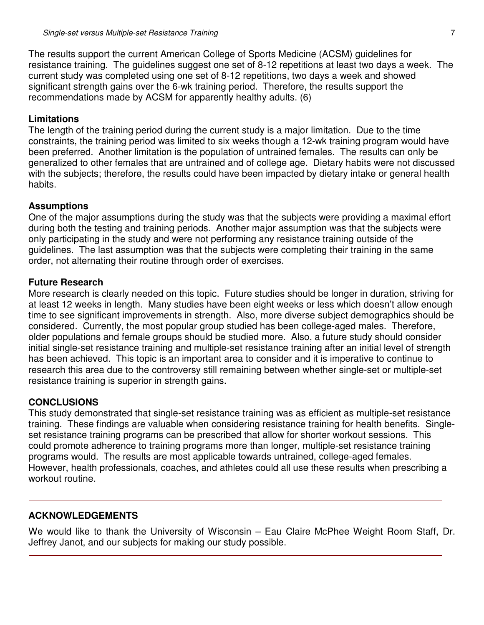The results support the current American College of Sports Medicine (ACSM) guidelines for resistance training. The guidelines suggest one set of 8-12 repetitions at least two days a week. The current study was completed using one set of 8-12 repetitions, two days a week and showed significant strength gains over the 6-wk training period. Therefore, the results support the recommendations made by ACSM for apparently healthy adults. (6)

## **Limitations**

The length of the training period during the current study is a major limitation. Due to the time constraints, the training period was limited to six weeks though a 12-wk training program would have been preferred. Another limitation is the population of untrained females. The results can only be generalized to other females that are untrained and of college age. Dietary habits were not discussed with the subjects; therefore, the results could have been impacted by dietary intake or general health habits.

## **Assumptions**

One of the major assumptions during the study was that the subjects were providing a maximal effort during both the testing and training periods. Another major assumption was that the subjects were only participating in the study and were not performing any resistance training outside of the guidelines. The last assumption was that the subjects were completing their training in the same order, not alternating their routine through order of exercises.

#### **Future Research**

More research is clearly needed on this topic. Future studies should be longer in duration, striving for at least 12 weeks in length. Many studies have been eight weeks or less which doesn't allow enough time to see significant improvements in strength. Also, more diverse subject demographics should be considered. Currently, the most popular group studied has been college-aged males. Therefore, older populations and female groups should be studied more. Also, a future study should consider initial single-set resistance training and multiple-set resistance training after an initial level of strength has been achieved. This topic is an important area to consider and it is imperative to continue to research this area due to the controversy still remaining between whether single-set or multiple-set resistance training is superior in strength gains.

## **CONCLUSIONS**

This study demonstrated that single-set resistance training was as efficient as multiple-set resistance training. These findings are valuable when considering resistance training for health benefits. Singleset resistance training programs can be prescribed that allow for shorter workout sessions. This could promote adherence to training programs more than longer, multiple-set resistance training programs would. The results are most applicable towards untrained, college-aged females. However, health professionals, coaches, and athletes could all use these results when prescribing a workout routine.

# **ACKNOWLEDGEMENTS**

We would like to thank the University of Wisconsin – Eau Claire McPhee Weight Room Staff, Dr. Jeffrey Janot, and our subjects for making our study possible.